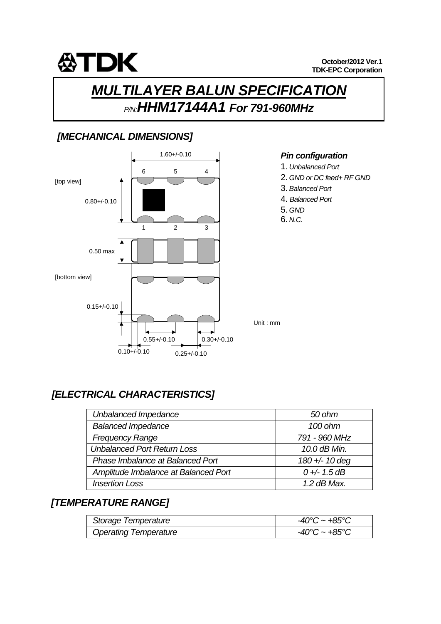

# *MULTILAYER BALUN SPECIFICATION P/N:HHM17144A1 For 791-960MHz*

### *[MECHANICAL DIMENSIONS]*



#### *Pin configuration*

- 1. *Unbalanced Port*
- 2. *GND or DC feed+ RF GND*
- 3. *Balanced Port*
- 4. *Balanced Port*
- 5. *GND*
- 6. *N.C.*

### *[ELECTRICAL CHARACTERISTICS]*

| Unbalanced Impedance                 | 50 ohm         |
|--------------------------------------|----------------|
| <b>Balanced Impedance</b>            | 100 ohm        |
| <b>Frequency Range</b>               | 791 - 960 MHz  |
| <b>Unbalanced Port Return Loss</b>   | 10.0 dB Min.   |
| Phase Imbalance at Balanced Port     | 180 +/- 10 deg |
| Amplitude Imbalance at Balanced Port | $0 + - 1.5$ dB |
| <b>Insertion Loss</b>                | $1.2$ dB Max.  |

#### *[TEMPERATURE RANGE]*

| Storage Temperature          | $-40^{\circ}$ C ~ $+85^{\circ}$ C  |
|------------------------------|------------------------------------|
| <b>Operating Temperature</b> | $-40^{\circ}$ C ~ +85 $^{\circ}$ C |